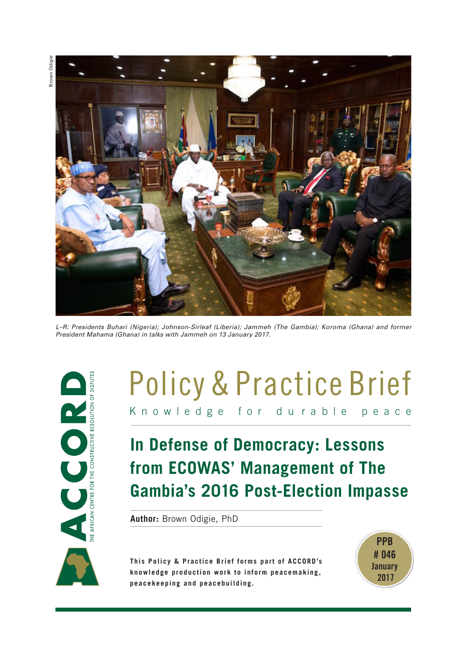Brown Odigie**Srown Odigie** 



*L–R: Presidents Buhari (Nigeria); Johnson-Sirleaf (Liberia); Jammeh (The Gambia); Koroma (Ghana) and former President Mahama (Ghana) in talks with Jammeh on 13 January 2017.*



# Knowledge for du rable peace Policy & Practice Brief

# **In Defense of Democracy: Lessons from ECOWAS' Management of The Gambia's 2016 Post-Election Impasse**

**Author:** Brown Odigie, PhD

**This Policy & Practice Brief forms part of ACCORD's knowledge production work to inform peacemaking, peacekeeping and peacebuilding.**

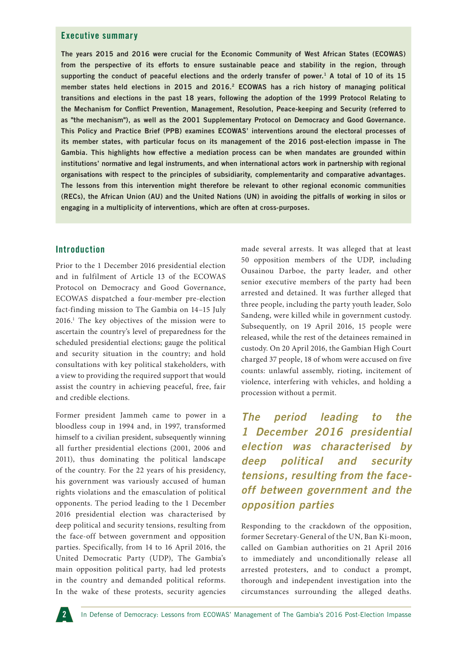#### **Executive summary**

**The years 2015 and 2016 were crucial for the Economic Community of West African States (ECOWAS) from the perspective of its efforts to ensure sustainable peace and stability in the region, through supporting the conduct of peaceful elections and the orderly transfer of power.1 A total of 10 of its 15 member states held elections in 2015 and 2016.2 ECOWAS has a rich history of managing political transitions and elections in the past 18 years, following the adoption of the 1999 Protocol Relating to the Mechanism for Conflict Prevention, Management, Resolution, Peace-keeping and Security (referred to as "the mechanism"), as well as the 2001 Supplementary Protocol on Democracy and Good Governance. This Policy and Practice Brief (PPB) examines ECOWAS' interventions around the electoral processes of its member states, with particular focus on its management of the 2016 post-election impasse in The Gambia. This highlights how effective a mediation process can be when mandates are grounded within institutions' normative and legal instruments, and when international actors work in partnership with regional organisations with respect to the principles of subsidiarity, complementarity and comparative advantages. The lessons from this intervention might therefore be relevant to other regional economic communities (RECs), the African Union (AU) and the United Nations (UN) in avoiding the pitfalls of working in silos or engaging in a multiplicity of interventions, which are often at cross-purposes.** 

#### **Introduction**

Prior to the 1 December 2016 presidential election and in fulfilment of Article 13 of the ECOWAS Protocol on Democracy and Good Governance, ECOWAS dispatched a four-member pre-election fact-finding mission to The Gambia on 14–15 July 2016.1 The key objectives of the mission were to ascertain the country's level of preparedness for the scheduled presidential elections; gauge the political and security situation in the country; and hold consultations with key political stakeholders, with a view to providing the required support that would assist the country in achieving peaceful, free, fair and credible elections.

Former president Jammeh came to power in a bloodless coup in 1994 and, in 1997, transformed himself to a civilian president, subsequently winning all further presidential elections (2001, 2006 and 2011), thus dominating the political landscape of the country. For the 22 years of his presidency, his government was variously accused of human rights violations and the emasculation of political opponents. The period leading to the 1 December 2016 presidential election was characterised by deep political and security tensions, resulting from the face-off between government and opposition parties. Specifically, from 14 to 16 April 2016, the United Democratic Party (UDP), The Gambia's main opposition political party, had led protests in the country and demanded political reforms. In the wake of these protests, security agencies

made several arrests. It was alleged that at least 50 opposition members of the UDP, including Ousainou Darboe, the party leader, and other senior executive members of the party had been arrested and detained. It was further alleged that three people, including the party youth leader, Solo Sandeng, were killed while in government custody. Subsequently, on 19 April 2016, 15 people were released, while the rest of the detainees remained in custody. On 20 April 2016, the Gambian High Court charged 37 people, 18 of whom were accused on five counts: unlawful assembly, rioting, incitement of violence, interfering with vehicles, and holding a procession without a permit.

*The period leading to the 1 December 2016 presidential election was characterised by deep political and security tensions, resulting from the faceoff between government and the opposition parties*

Responding to the crackdown of the opposition, former Secretary-General of the UN, Ban Ki-moon, called on Gambian authorities on 21 April 2016 to immediately and unconditionally release all arrested protesters, and to conduct a prompt, thorough and independent investigation into the circumstances surrounding the alleged deaths.

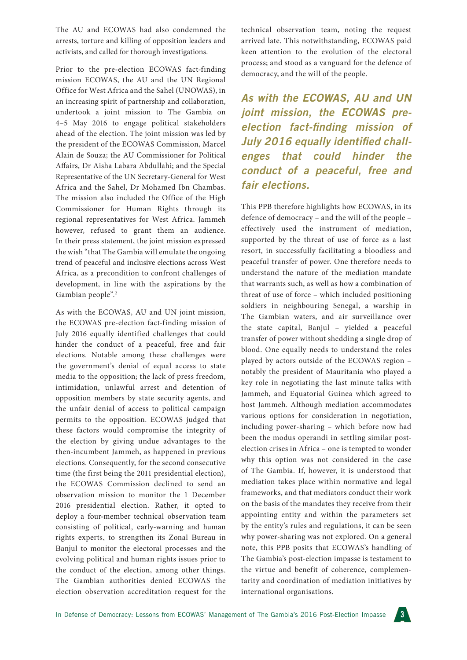The AU and ECOWAS had also condemned the arrests, torture and killing of opposition leaders and activists, and called for thorough investigations.

Prior to the pre-election ECOWAS fact-finding mission ECOWAS, the AU and the UN Regional Office for West Africa and the Sahel (UNOWAS), in an increasing spirit of partnership and collaboration, undertook a joint mission to The Gambia on 4–5 May 2016 to engage political stakeholders ahead of the election. The joint mission was led by the president of the ECOWAS Commission, Marcel Alain de Souza; the AU Commissioner for Political Affairs, Dr Aisha Labara Abdullahi; and the Special Representative of the UN Secretary-General for West Africa and the Sahel, Dr Mohamed Ibn Chambas. The mission also included the Office of the High Commissioner for Human Rights through its regional representatives for West Africa. Jammeh however, refused to grant them an audience. In their press statement, the joint mission expressed the wish "that The Gambia will emulate the ongoing trend of peaceful and inclusive elections across West Africa, as a precondition to confront challenges of development, in line with the aspirations by the Gambian people".2

As with the ECOWAS, AU and UN joint mission, the ECOWAS pre-election fact-finding mission of July 2016 equally identified challenges that could hinder the conduct of a peaceful, free and fair elections. Notable among these challenges were the government's denial of equal access to state media to the opposition; the lack of press freedom, intimidation, unlawful arrest and detention of opposition members by state security agents, and the unfair denial of access to political campaign permits to the opposition. ECOWAS judged that these factors would compromise the integrity of the election by giving undue advantages to the then-incumbent Jammeh, as happened in previous elections. Consequently, for the second consecutive time (the first being the 2011 presidential election), the ECOWAS Commission declined to send an observation mission to monitor the 1 December 2016 presidential election. Rather, it opted to deploy a four-member technical observation team consisting of political, early-warning and human rights experts, to strengthen its Zonal Bureau in Banjul to monitor the electoral processes and the evolving political and human rights issues prior to the conduct of the election, among other things. The Gambian authorities denied ECOWAS the election observation accreditation request for the

technical observation team, noting the request arrived late. This notwithstanding, ECOWAS paid keen attention to the evolution of the electoral process; and stood as a vanguard for the defence of democracy, and the will of the people.

*As with the ECOWAS, AU and UN joint mission, the ECOWAS preelection fact-finding mission of July 2016 equally identified challenges that could hinder the conduct of a peaceful, free and fair elections.*

This PPB therefore highlights how ECOWAS, in its defence of democracy – and the will of the people – effectively used the instrument of mediation, supported by the threat of use of force as a last resort, in successfully facilitating a bloodless and peaceful transfer of power. One therefore needs to understand the nature of the mediation mandate that warrants such, as well as how a combination of threat of use of force – which included positioning soldiers in neighbouring Senegal, a warship in The Gambian waters, and air surveillance over the state capital, Banjul – yielded a peaceful transfer of power without shedding a single drop of blood. One equally needs to understand the roles played by actors outside of the ECOWAS region – notably the president of Mauritania who played a key role in negotiating the last minute talks with Jammeh, and Equatorial Guinea which agreed to host Jammeh. Although mediation accommodates various options for consideration in negotiation, including power-sharing – which before now had been the modus operandi in settling similar postelection crises in Africa – one is tempted to wonder why this option was not considered in the case of The Gambia. If, however, it is understood that mediation takes place within normative and legal frameworks, and that mediators conduct their work on the basis of the mandates they receive from their appointing entity and within the parameters set by the entity's rules and regulations, it can be seen why power-sharing was not explored. On a general note, this PPB posits that ECOWAS's handling of The Gambia's post-election impasse is testament to the virtue and benefit of coherence, complementarity and coordination of mediation initiatives by international organisations.

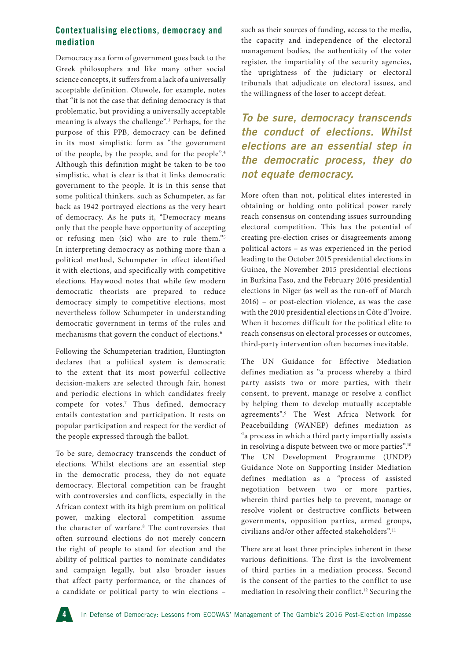# **Contextualising elections, democracy and mediation**

Democracy as a form of government goes back to the Greek philosophers and like many other social science concepts, it suffers from a lack of a universally acceptable definition. Oluwole, for example, notes that "it is not the case that defining democracy is that problematic, but providing a universally acceptable meaning is always the challenge".3 Perhaps, for the purpose of this PPB, democracy can be defined in its most simplistic form as "the government of the people, by the people, and for the people".4 Although this definition might be taken to be too simplistic, what is clear is that it links democratic government to the people. It is in this sense that some political thinkers, such as Schumpeter, as far back as 1942 portrayed elections as the very heart of democracy. As he puts it, "Democracy means only that the people have opportunity of accepting or refusing men (sic) who are to rule them."5 In interpreting democracy as nothing more than a political method, Schumpeter in effect identified it with elections, and specifically with competitive elections. Haywood notes that while few modern democratic theorists are prepared to reduce democracy simply to competitive elections, most nevertheless follow Schumpeter in understanding democratic government in terms of the rules and mechanisms that govern the conduct of elections.<sup>6</sup>

Following the Schumpeterian tradition, Huntington declares that a political system is democratic to the extent that its most powerful collective decision-makers are selected through fair, honest and periodic elections in which candidates freely compete for votes.<sup>7</sup> Thus defined, democracy entails contestation and participation. It rests on popular participation and respect for the verdict of the people expressed through the ballot.

To be sure, democracy transcends the conduct of elections. Whilst elections are an essential step in the democratic process, they do not equate democracy. Electoral competition can be fraught with controversies and conflicts, especially in the African context with its high premium on political power, making electoral competition assume the character of warfare.8 The controversies that often surround elections do not merely concern the right of people to stand for election and the ability of political parties to nominate candidates and campaign legally, but also broader issues that affect party performance, or the chances of a candidate or political party to win elections –

such as their sources of funding, access to the media, the capacity and independence of the electoral management bodies, the authenticity of the voter register, the impartiality of the security agencies, the uprightness of the judiciary or electoral tribunals that adjudicate on electoral issues, and the willingness of the loser to accept defeat.

*To be sure, democracy transcends the conduct of elections. Whilst elections are an essential step in the democratic process, they do not equate democracy.*

More often than not, political elites interested in obtaining or holding onto political power rarely reach consensus on contending issues surrounding electoral competition. This has the potential of creating pre-election crises or disagreements among political actors – as was experienced in the period leading to the October 2015 presidential elections in Guinea, the November 2015 presidential elections in Burkina Faso, and the February 2016 presidential elections in Niger (as well as the run-off of March 2016) – or post-election violence, as was the case with the 2010 presidential elections in Côte d'Ivoire. When it becomes difficult for the political elite to reach consensus on electoral processes or outcomes, third-party intervention often becomes inevitable.

The UN Guidance for Effective Mediation defines mediation as "a process whereby a third party assists two or more parties, with their consent, to prevent, manage or resolve a conflict by helping them to develop mutually acceptable agreements".9 The West Africa Network for Peacebuilding (WANEP) defines mediation as "a process in which a third party impartially assists in resolving a dispute between two or more parties".10 The UN Development Programme (UNDP) Guidance Note on Supporting Insider Mediation defines mediation as a "process of assisted negotiation between two or more parties, wherein third parties help to prevent, manage or resolve violent or destructive conflicts between governments, opposition parties, armed groups, civilians and/or other affected stakeholders".11

There are at least three principles inherent in these various definitions. The first is the involvement of third parties in a mediation process. Second is the consent of the parties to the conflict to use mediation in resolving their conflict.12 Securing the

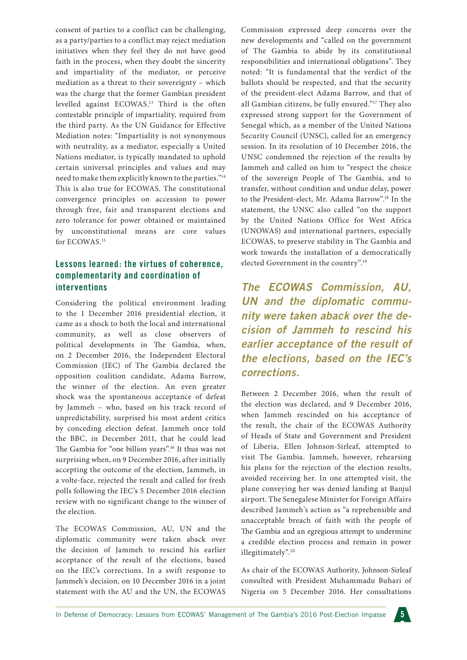consent of parties to a conflict can be challenging, as a party/parties to a conflict may reject mediation initiatives when they feel they do not have good faith in the process, when they doubt the sincerity and impartiality of the mediator, or perceive mediation as a threat to their sovereignty – which was the charge that the former Gambian president levelled against ECOWAS.13 Third is the often contestable principle of impartiality, required from the third party. As the UN Guidance for Effective Mediation notes: "Impartiality is not synonymous with neutrality, as a mediator, especially a United Nations mediator, is typically mandated to uphold certain universal principles and values and may need to make them explicitly known to the parties."14 This is also true for ECOWAS. The constitutional convergence principles on accession to power through free, fair and transparent elections and zero tolerance for power obtained or maintained by unconstitutional means are core values for ECOWAS.15

# **Lessons learned: the virtues of coherence, complementarity and coordination of interventions**

Considering the political environment leading to the 1 December 2016 presidential election, it came as a shock to both the local and international community, as well as close observers of political developments in The Gambia, when, on 2 December 2016, the Independent Electoral Commission (IEC) of The Gambia declared the opposition coalition candidate, Adama Barrow, the winner of the election. An even greater shock was the spontaneous acceptance of defeat by Jammeh – who, based on his track record of unpredictability, surprised his most ardent critics by conceding election defeat. Jammeh once told the BBC, in December 2011, that he could lead The Gambia for "one billion years".16 It thus was not surprising when, on 9 December 2016, after initially accepting the outcome of the election, Jammeh, in a volte-face, rejected the result and called for fresh polls following the IEC's 5 December 2016 election review with no significant change to the winner of the election.

The ECOWAS Commission, AU, UN and the diplomatic community were taken aback over the decision of Jammeh to rescind his earlier acceptance of the result of the elections, based on the IEC's corrections. In a swift response to Jammeh's decision, on 10 December 2016 in a joint statement with the AU and the UN, the ECOWAS

Commission expressed deep concerns over the new developments and "called on the government of The Gambia to abide by its constitutional responsibilities and international obligations". They noted: "It is fundamental that the verdict of the ballots should be respected, and that the security of the president-elect Adama Barrow, and that of all Gambian citizens, be fully ensured."17 They also expressed strong support for the Government of Senegal which, as a member of the United Nations Security Council (UNSC), called for an emergency session. In its resolution of 10 December 2016, the UNSC condemned the rejection of the results by Jammeh and called on him to "respect the choice of the sovereign People of The Gambia, and to transfer, without condition and undue delay, power to the President-elect, Mr. Adama Barrow".18 In the statement, the UNSC also called "on the support by the United Nations Office for West Africa (UNOWAS) and international partners, especially ECOWAS, to preserve stability in The Gambia and work towards the installation of a democratically elected Government in the country".19

*The ECOWAS Commission, AU, UN and the diplomatic community were taken aback over the decision of Jammeh to rescind his earlier acceptance of the result of the elections, based on the IEC's corrections.*

Between 2 December 2016, when the result of the election was declared, and 9 December 2016, when Jammeh rescinded on his acceptance of the result, the chair of the ECOWAS Authority of Heads of State and Government and President of Liberia, Ellen Johnson-Sirleaf, attempted to visit The Gambia. Jammeh, however, rehearsing his plans for the rejection of the election results, avoided receiving her. In one attempted visit, the plane conveying her was denied landing at Banjul airport. The Senegalese Minister for Foreign Affairs described Jammeh's action as "a reprehensible and unacceptable breach of faith with the people of The Gambia and an egregious attempt to undermine a credible election process and remain in power illegitimately".20

As chair of the ECOWAS Authority, Johnson-Sirleaf consulted with President Muhammadu Buhari of Nigeria on 5 December 2016. Her consultations

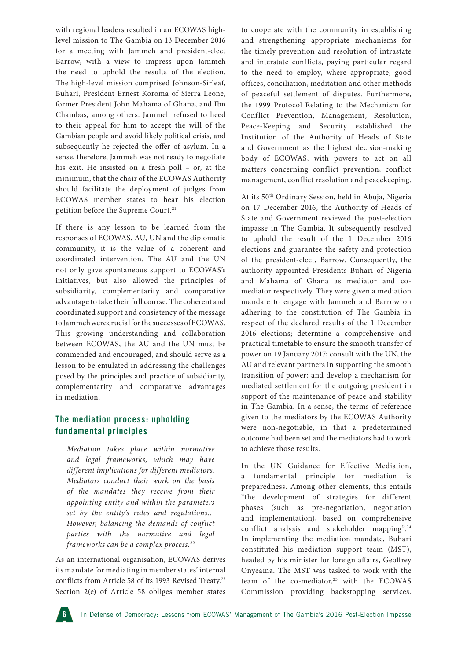with regional leaders resulted in an ECOWAS highlevel mission to The Gambia on 13 December 2016 for a meeting with Jammeh and president-elect Barrow, with a view to impress upon Jammeh the need to uphold the results of the election. The high-level mission comprised Johnson-Sirleaf, Buhari, President Ernest Koroma of Sierra Leone, former President John Mahama of Ghana, and Ibn Chambas, among others. Jammeh refused to heed to their appeal for him to accept the will of the Gambian people and avoid likely political crisis, and subsequently he rejected the offer of asylum. In a sense, therefore, Jammeh was not ready to negotiate his exit. He insisted on a fresh poll – or, at the minimum, that the chair of the ECOWAS Authority should facilitate the deployment of judges from ECOWAS member states to hear his election petition before the Supreme Court.<sup>21</sup>

If there is any lesson to be learned from the responses of ECOWAS, AU, UN and the diplomatic community, it is the value of a coherent and coordinated intervention. The AU and the UN not only gave spontaneous support to ECOWAS's initiatives, but also allowed the principles of subsidiarity, complementarity and comparative advantage to take their full course. The coherent and coordinated support and consistency of the message to Jammeh were crucial for the successes of ECOWAS. This growing understanding and collaboration between ECOWAS, the AU and the UN must be commended and encouraged, and should serve as a lesson to be emulated in addressing the challenges posed by the principles and practice of subsidiarity, complementarity and comparative advantages in mediation.

# **The mediation process: upholding fundamental principles**

*Mediation takes place within normative and legal frameworks, which may have different implications for different mediators. Mediators conduct their work on the basis of the mandates they receive from their appointing entity and within the parameters set by the entity's rules and regulations… However, balancing the demands of conflict parties with the normative and legal frameworks can be a complex process.22*

As an international organisation, ECOWAS derives its mandate for mediating in member states' internal conflicts from Article 58 of its 1993 Revised Treaty.<sup>23</sup> Section 2(e) of Article 58 obliges member states to cooperate with the community in establishing and strengthening appropriate mechanisms for the timely prevention and resolution of intrastate and interstate conflicts, paying particular regard to the need to employ, where appropriate, good offices, conciliation, meditation and other methods of peaceful settlement of disputes. Furthermore, the 1999 Protocol Relating to the Mechanism for Conflict Prevention, Management, Resolution, Peace-Keeping and Security established the Institution of the Authority of Heads of State and Government as the highest decision-making body of ECOWAS, with powers to act on all matters concerning conflict prevention, conflict management, conflict resolution and peacekeeping.

At its 50th Ordinary Session, held in Abuja, Nigeria on 17 December 2016, the Authority of Heads of State and Government reviewed the post-election impasse in The Gambia. It subsequently resolved to uphold the result of the 1 December 2016 elections and guarantee the safety and protection of the president-elect, Barrow. Consequently, the authority appointed Presidents Buhari of Nigeria and Mahama of Ghana as mediator and comediator respectively. They were given a mediation mandate to engage with Jammeh and Barrow on adhering to the constitution of The Gambia in respect of the declared results of the 1 December 2016 elections; determine a comprehensive and practical timetable to ensure the smooth transfer of power on 19 January 2017; consult with the UN, the AU and relevant partners in supporting the smooth transition of power; and develop a mechanism for mediated settlement for the outgoing president in support of the maintenance of peace and stability in The Gambia. In a sense, the terms of reference given to the mediators by the ECOWAS Authority were non-negotiable, in that a predetermined outcome had been set and the mediators had to work to achieve those results.

In the UN Guidance for Effective Mediation, a fundamental principle for mediation is preparedness. Among other elements, this entails "the development of strategies for different phases (such as pre-negotiation, negotiation and implementation), based on comprehensive conflict analysis and stakeholder mapping".24 In implementing the mediation mandate, Buhari constituted his mediation support team (MST), headed by his minister for foreign affairs, Geoffrey Onyeama. The MST was tasked to work with the team of the co-mediator,<sup>25</sup> with the ECOWAS Commission providing backstopping services.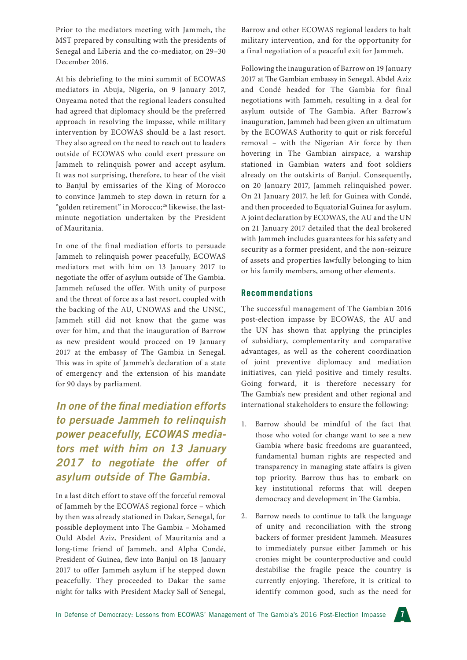Prior to the mediators meeting with Jammeh, the MST prepared by consulting with the presidents of Senegal and Liberia and the co-mediator, on 29–30 December 2016.

At his debriefing to the mini summit of ECOWAS mediators in Abuja, Nigeria, on 9 January 2017, Onyeama noted that the regional leaders consulted had agreed that diplomacy should be the preferred approach in resolving the impasse, while military intervention by ECOWAS should be a last resort. They also agreed on the need to reach out to leaders outside of ECOWAS who could exert pressure on Jammeh to relinquish power and accept asylum. It was not surprising, therefore, to hear of the visit to Banjul by emissaries of the King of Morocco to convince Jammeh to step down in return for a "golden retirement" in Morocco;<sup>26</sup> likewise, the lastminute negotiation undertaken by the President of Mauritania.

In one of the final mediation efforts to persuade Jammeh to relinquish power peacefully, ECOWAS mediators met with him on 13 January 2017 to negotiate the offer of asylum outside of The Gambia. Jammeh refused the offer. With unity of purpose and the threat of force as a last resort, coupled with the backing of the AU, UNOWAS and the UNSC, Jammeh still did not know that the game was over for him, and that the inauguration of Barrow as new president would proceed on 19 January 2017 at the embassy of The Gambia in Senegal. This was in spite of Jammeh's declaration of a state of emergency and the extension of his mandate for 90 days by parliament.

*In one of the final mediation efforts to persuade Jammeh to relinquish power peacefully, ECOWAS mediators met with him on 13 January 2017 to negotiate the offer of asylum outside of The Gambia.*

In a last ditch effort to stave off the forceful removal of Jammeh by the ECOWAS regional force – which by then was already stationed in Dakar, Senegal, for possible deployment into The Gambia – Mohamed Ould Abdel Aziz, President of Mauritania and a long-time friend of Jammeh, and Alpha Condé, President of Guinea, flew into Banjul on 18 January 2017 to offer Jammeh asylum if he stepped down peacefully. They proceeded to Dakar the same night for talks with President Macky Sall of Senegal,

Barrow and other ECOWAS regional leaders to halt military intervention, and for the opportunity for a final negotiation of a peaceful exit for Jammeh.

Following the inauguration of Barrow on 19 January 2017 at The Gambian embassy in Senegal, Abdel Aziz and Condé headed for The Gambia for final negotiations with Jammeh, resulting in a deal for asylum outside of The Gambia. After Barrow's inauguration, Jammeh had been given an ultimatum by the ECOWAS Authority to quit or risk forceful removal – with the Nigerian Air force by then hovering in The Gambian airspace, a warship stationed in Gambian waters and foot soldiers already on the outskirts of Banjul. Consequently, on 20 January 2017, Jammeh relinquished power. On 21 January 2017, he left for Guinea with Condé, and then proceeded to Equatorial Guinea for asylum. A joint declaration by ECOWAS, the AU and the UN on 21 January 2017 detailed that the deal brokered with Jammeh includes guarantees for his safety and security as a former president, and the non-seizure of assets and properties lawfully belonging to him or his family members, among other elements.

#### **Recommendations**

The successful management of The Gambian 2016 post-election impasse by ECOWAS, the AU and the UN has shown that applying the principles of subsidiary, complementarity and comparative advantages, as well as the coherent coordination of joint preventive diplomacy and mediation initiatives, can yield positive and timely results. Going forward, it is therefore necessary for The Gambia's new president and other regional and international stakeholders to ensure the following:

- 1. Barrow should be mindful of the fact that those who voted for change want to see a new Gambia where basic freedoms are guaranteed, fundamental human rights are respected and transparency in managing state affairs is given top priority. Barrow thus has to embark on key institutional reforms that will deepen democracy and development in The Gambia.
- 2. Barrow needs to continue to talk the language of unity and reconciliation with the strong backers of former president Jammeh. Measures to immediately pursue either Jammeh or his cronies might be counterproductive and could destabilise the fragile peace the country is currently enjoying. Therefore, it is critical to identify common good, such as the need for

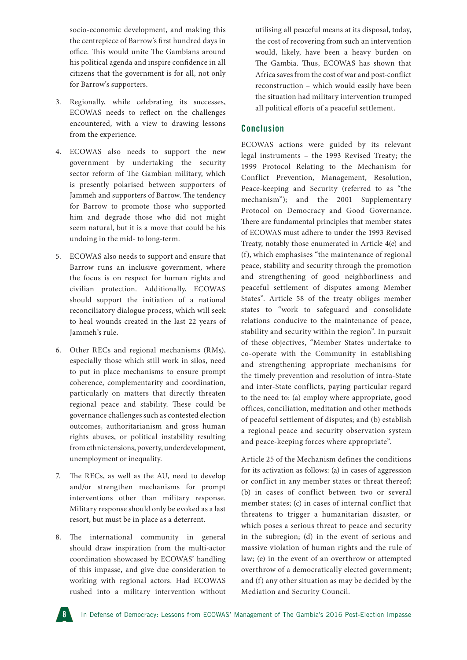socio-economic development, and making this the centrepiece of Barrow's first hundred days in office. This would unite The Gambians around his political agenda and inspire confidence in all citizens that the government is for all, not only for Barrow's supporters.

- 3. Regionally, while celebrating its successes, ECOWAS needs to reflect on the challenges encountered, with a view to drawing lessons from the experience.
- 4. ECOWAS also needs to support the new government by undertaking the security sector reform of The Gambian military, which is presently polarised between supporters of Jammeh and supporters of Barrow. The tendency for Barrow to promote those who supported him and degrade those who did not might seem natural, but it is a move that could be his undoing in the mid- to long-term.
- 5. ECOWAS also needs to support and ensure that Barrow runs an inclusive government, where the focus is on respect for human rights and civilian protection. Additionally, ECOWAS should support the initiation of a national reconciliatory dialogue process, which will seek to heal wounds created in the last 22 years of Jammeh's rule.
- 6. Other RECs and regional mechanisms (RMs), especially those which still work in silos, need to put in place mechanisms to ensure prompt coherence, complementarity and coordination, particularly on matters that directly threaten regional peace and stability. These could be governance challenges such as contested election outcomes, authoritarianism and gross human rights abuses, or political instability resulting from ethnic tensions, poverty, underdevelopment, unemployment or inequality.
- 7. The RECs, as well as the AU, need to develop and/or strengthen mechanisms for prompt interventions other than military response. Military response should only be evoked as a last resort, but must be in place as a deterrent.
- 8. The international community in general should draw inspiration from the multi-actor coordination showcased by ECOWAS' handling of this impasse, and give due consideration to working with regional actors. Had ECOWAS rushed into a military intervention without

utilising all peaceful means at its disposal, today, the cost of recovering from such an intervention would, likely, have been a heavy burden on The Gambia. Thus, ECOWAS has shown that Africa saves from the cost of war and post-conflict reconstruction – which would easily have been the situation had military intervention trumped all political efforts of a peaceful settlement.

# **Conclusion**

ECOWAS actions were guided by its relevant legal instruments – the 1993 Revised Treaty; the 1999 Protocol Relating to the Mechanism for Conflict Prevention, Management, Resolution, Peace-keeping and Security (referred to as "the mechanism"); and the 2001 Supplementary Protocol on Democracy and Good Governance. There are fundamental principles that member states of ECOWAS must adhere to under the 1993 Revised Treaty, notably those enumerated in Article 4(e) and (f), which emphasises "the maintenance of regional peace, stability and security through the promotion and strengthening of good neighborliness and peaceful settlement of disputes among Member States". Article 58 of the treaty obliges member states to "work to safeguard and consolidate relations conducive to the maintenance of peace, stability and security within the region". In pursuit of these objectives, "Member States undertake to co-operate with the Community in establishing and strengthening appropriate mechanisms for the timely prevention and resolution of intra-State and inter-State conflicts, paying particular regard to the need to: (a) employ where appropriate, good offices, conciliation, meditation and other methods of peaceful settlement of disputes; and (b) establish a regional peace and security observation system and peace-keeping forces where appropriate".

Article 25 of the Mechanism defines the conditions for its activation as follows: (a) in cases of aggression or conflict in any member states or threat thereof; (b) in cases of conflict between two or several member states; (c) in cases of internal conflict that threatens to trigger a humanitarian disaster, or which poses a serious threat to peace and security in the subregion; (d) in the event of serious and massive violation of human rights and the rule of law; (e) in the event of an overthrow or attempted overthrow of a democratically elected government; and (f) any other situation as may be decided by the Mediation and Security Council.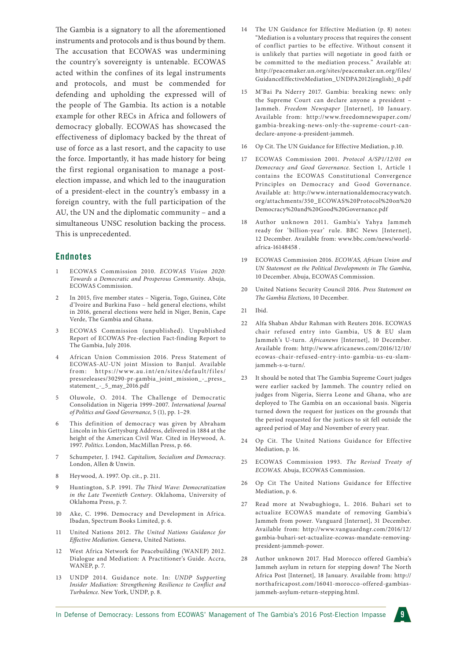The Gambia is a signatory to all the aforementioned instruments and protocols and is thus bound by them. The accusation that ECOWAS was undermining the country's sovereignty is untenable. ECOWAS acted within the confines of its legal instruments and protocols, and must be commended for defending and upholding the expressed will of the people of The Gambia. Its action is a notable example for other RECs in Africa and followers of democracy globally. ECOWAS has showcased the effectiveness of diplomacy backed by the threat of use of force as a last resort, and the capacity to use the force. Importantly, it has made history for being the first regional organisation to manage a postelection impasse, and which led to the inauguration of a president-elect in the country's embassy in a foreign country, with the full participation of the AU, the UN and the diplomatic community – and a simultaneous UNSC resolution backing the process. This is unprecedented.

#### **Endnotes**

- 1 ECOWAS Commission 2010. *ECOWAS Vision 2020: Towards a Democratic and Prosperous Community*. Abuja, ECOWAS Commission.
- 2 In 2015, five member states Nigeria, Togo, Guinea, Côte d'Ivoire and Burkina Faso – held general elections, whilst in 2016, general elections were held in Niger, Benin, Cape Verde, The Gambia and Ghana.
- 3 ECOWAS Commission (unpublished). Unpublished Report of ECOWAS Pre-election Fact-finding Report to The Gambia, July 2016.
- 4 African Union Commission 2016. Press Statement of ECOWAS-AU-UN joint Mission to Banjul. Available from: https://www.au.int/en/sites/default/files/ pressreleases/30290-pr-gambia\_joint\_mission\_-\_press\_ statement\_-\_5\_may\_2016.pdf
- 5 Oluwole, O. 2014. The Challenge of Democratic Consolidation in Nigeria 1999–2007. *International Journal of Politics and Good Governance*, 5 (1), pp. 1–29.
- 6 This definition of democracy was given by Abraham Lincoln in his Gettysburg Address, delivered in 1884 at the height of the American Civil War. Cited in Heywood, A. 1997. *Politics*. London, MacMillan Press, p. 66.
- 7 Schumpeter, J. 1942. *Capitalism, Socialism and Democracy*. London, Allen & Unwin.
- 8 Heywood, A. 1997. Op. cit., p. 211.
- 9 Huntington, S.P. 1991. *The Third Wave: Democratization in the Late Twentieth Century*. Oklahoma, University of Oklahoma Press, p. 7.
- 10 Ake, C. 1996. Democracy and Development in Africa. Ibadan, Spectrum Books Limited, p. 6.
- 11 United Nations 2012. *The United Nations Guidance for Effective Mediation*. Geneva, United Nations.
- 12 West Africa Network for Peacebuilding (WANEP) 2012. Dialogue and Mediation: A Practitioner's Guide. Accra, WANEP, p. 7.
- 13 UNDP 2014. Guidance note. In: *UNDP Supporting Insider Mediation: Strengthening Resilience to Conflict and Turbulence*. New York, UNDP, p. 8.
- 14 The UN Guidance for Effective Mediation (p. 8) notes: "Mediation is a voluntary process that requires the consent of conflict parties to be effective. Without consent it is unlikely that parties will negotiate in good faith or be committed to the mediation process." Available at: http://peacemaker.un.org/sites/peacemaker.un.org/files/ GuidanceEffectiveMediation\_UNDPA2012(english)\_0.pdf
- 15 M'Bai Pa Nderry 2017. Gambia: breaking news: only the Supreme Court can declare anyone a president – Jammeh. *Freedom Newspaper* [Internet], 10 January. Available from: [http://www.freedomnewspaper.com/](http://www.freedomnewspaper.com/gambia-breaking-news-only-the-supreme-court-can-declare-anyone-a-president-jammeh) [gambia-breaking-news-only-the-supreme-court-can](http://www.freedomnewspaper.com/gambia-breaking-news-only-the-supreme-court-can-declare-anyone-a-president-jammeh)[declare-anyone-a-president-jammeh](http://www.freedomnewspaper.com/gambia-breaking-news-only-the-supreme-court-can-declare-anyone-a-president-jammeh).
- 16 Op Cit. The UN Guidance for Effective Mediation, p.10.
- 17 ECOWAS Commission 2001. *Protocol A/SP1/12/01 on Democracy and Good Governance*. Section 1, Article 1 contains the ECOWAS Constitutional Convergence Principles on Democracy and Good Governance. Available at: http://www.internationaldemocracywatch. org/attachments/350\_ECOWAS%20Protocol%20on%20 Democracy%20and%20Good%20Governance.pdf
- 18 Author unknown 2011. Gambia's Yahya Jammeh ready for 'billion-year' rule. BBC News [Internet], 12 December. Available from: www.bbc.com/news/worldafrica-16148458 .
- 19 ECOWAS Commission 2016. *ECOWAS, African Union and UN Statement on the Political Developments in The Gambia*, 10 December. Abuja, ECOWAS Commission.
- 20 United Nations Security Council 2016. *Press Statement on The Gambia Elections*, 10 December.
- 21 Ibid.
- 22 Alfa Shaban Abdur Rahman with Reuters 2016. ECOWAS chair refused entry into Gambia, US & EU slam Jammeh's U-turn. *Africanews* [Internet], 10 December. Available from: http://www.africanews.com/2016/12/10/ ecowas-chair-refused-entry-into-gambia-us-eu-slamjammeh-s-u-turn/.
- 23 It should be noted that The Gambia Supreme Court judges were earlier sacked by Jammeh. The country relied on judges from Nigeria, Sierra Leone and Ghana, who are deployed to The Gambia on an occasional basis. Nigeria turned down the request for justices on the grounds that the period requested for the justices to sit fell outside the agreed period of May and November of every year.
- 24 Op Cit. The United Nations Guidance for Effective Mediation, p. 16.
- 25 ECOWAS Commission 1993. *The Revised Treaty of ECOWAS*. Abuja, ECOWAS Commission.
- 26 Op Cit The United Nations Guidance for Effective Mediation, p. 6.
- 27 Read more at Nwabughiogu, L. 2016. Buhari set to actualize ECOWAS mandate of removing Gambia's Jammeh from power. Vanguard [Internet], 31 December. Available from: [http://www.vanguardngr.com/2016/12/](http://www.vanguardngr.com/2016/12/gambia-buhari-set-actualize-ecowas-mandate-removing-president-jammeh-power) [gambia-buhari-set-actualize-ecowas-mandate-removing](http://www.vanguardngr.com/2016/12/gambia-buhari-set-actualize-ecowas-mandate-removing-president-jammeh-power)[president-jammeh-power](http://www.vanguardngr.com/2016/12/gambia-buhari-set-actualize-ecowas-mandate-removing-president-jammeh-power).
- 28 Author unknown 2017. Had Morocco offered Gambia's Jammeh asylum in return for stepping down? The North Africa Post [Internet], 18 January. Available from: [http://](http://northafricapost.com/16041-morocco-offered-gambias-jammeh-asylum-return-stepping.html) [northafricapost.com/16041-morocco-offered-gambias](http://northafricapost.com/16041-morocco-offered-gambias-jammeh-asylum-return-stepping.html)[jammeh-asylum-return-stepping.html](http://northafricapost.com/16041-morocco-offered-gambias-jammeh-asylum-return-stepping.html).